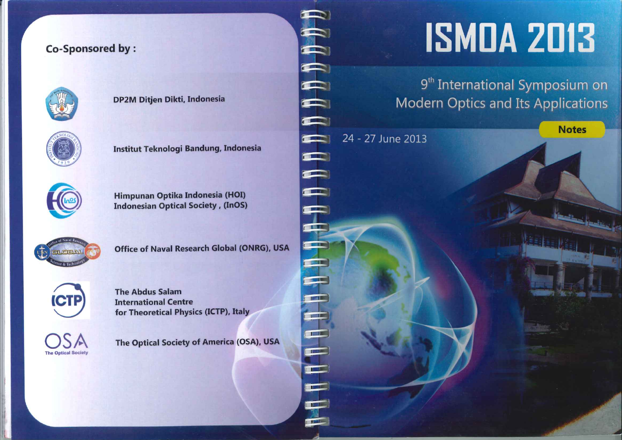# **Co-Sponsored by:**



**DP2M Ditjen Dikti, Indonesia** 



**Institut Teknologi Bandung, Indonesia** 





**The Abdus Salam** 

**International Centre** 



**Office of Naval Research Global (ONRG), USA** 





The Optical Society of America (OSA), USA

for Theoretical Physics (ICTP), Italy

# **ISMDA 2013**

9<sup>th</sup> International Symposium on **Modern Optics and Its Applications** 

**Notes** 



**PERSONAL PROPERTY** 

**THE** 

 $\blacksquare$ 

**THE R** 

HDDDJ

**ST NOT** 

**TALK** 

**TABLE** 

 $F - F$ 

 $V$  18

 $\mathbb{L}^{\mathbb{R}}$ 

**E** 

T  $\frac{1}{\sqrt{2}}$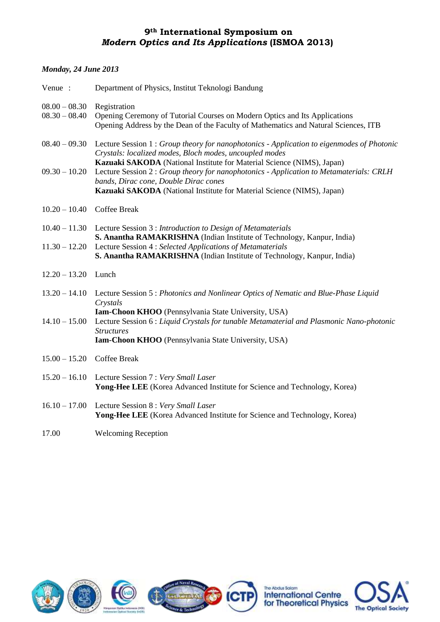#### *Monday, 24 June 2013*

| Venue :                            | Department of Physics, Institut Teknologi Bandung                                                                                                                                                                                                                                                  |
|------------------------------------|----------------------------------------------------------------------------------------------------------------------------------------------------------------------------------------------------------------------------------------------------------------------------------------------------|
| $08.00 - 08.30$<br>$08.30 - 08.40$ | Registration<br>Opening Ceremony of Tutorial Courses on Modern Optics and Its Applications<br>Opening Address by the Dean of the Faculty of Mathematics and Natural Sciences, ITB                                                                                                                  |
| $08.40 - 09.30$                    | Lecture Session 1 : Group theory for nanophotonics - Application to eigenmodes of Photonic<br>Crystals: localized modes, Bloch modes, uncoupled modes                                                                                                                                              |
|                                    | Kazuaki SAKODA (National Institute for Material Science (NIMS), Japan)<br>09.30 - 10.20 Lecture Session 2 : Group theory for nanophotonics - Application to Metamaterials: CRLH<br>bands, Dirac cone, Double Dirac cones<br>Kazuaki SAKODA (National Institute for Material Science (NIMS), Japan) |
| $10.20 - 10.40$                    | <b>Coffee Break</b>                                                                                                                                                                                                                                                                                |
|                                    | 10.40 - 11.30 Lecture Session 3 : Introduction to Design of Metamaterials                                                                                                                                                                                                                          |
| $11.30 - 12.20$                    | S. Anantha RAMAKRISHNA (Indian Institute of Technology, Kanpur, India)<br>Lecture Session 4 : Selected Applications of Metamaterials<br>S. Anantha RAMAKRISHNA (Indian Institute of Technology, Kanpur, India)                                                                                     |
| $12.20 - 13.20$                    | Lunch                                                                                                                                                                                                                                                                                              |
| $13.20 - 14.10$                    | Lecture Session 5 : Photonics and Nonlinear Optics of Nematic and Blue-Phase Liquid<br>Crystals                                                                                                                                                                                                    |
| $14.10 - 15.00$                    | Iam-Choon KHOO (Pennsylvania State University, USA)<br>Lecture Session 6 : Liquid Crystals for tunable Metamaterial and Plasmonic Nano-photonic<br><b>Structures</b><br>Iam-Choon KHOO (Pennsylvania State University, USA)                                                                        |
| $15.00 - 15.20$                    | <b>Coffee Break</b>                                                                                                                                                                                                                                                                                |
|                                    | 15.20 - 16.10 Lecture Session 7 : Very Small Laser<br>Yong-Hee LEE (Korea Advanced Institute for Science and Technology, Korea)                                                                                                                                                                    |
|                                    | 16.10 - 17.00 Lecture Session 8 : Very Small Laser<br>Yong-Hee LEE (Korea Advanced Institute for Science and Technology, Korea)                                                                                                                                                                    |
| 17.00                              | <b>Welcoming Reception</b>                                                                                                                                                                                                                                                                         |











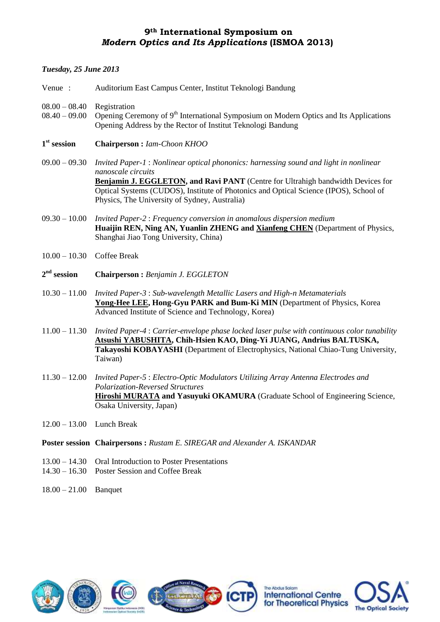#### *Tuesday, 25 June 2013*

| Venue :                            | Auditorium East Campus Center, Institut Teknologi Bandung                                                                                                                                                                                                                                                                                 |
|------------------------------------|-------------------------------------------------------------------------------------------------------------------------------------------------------------------------------------------------------------------------------------------------------------------------------------------------------------------------------------------|
| $08.00 - 08.40$<br>$08.40 - 09.00$ | Registration<br>Opening Ceremony of 9 <sup>th</sup> International Symposium on Modern Optics and Its Applications<br>Opening Address by the Rector of Institut Teknologi Bandung                                                                                                                                                          |
| $1st$ session                      | Chairperson: Iam-Choon KHOO                                                                                                                                                                                                                                                                                                               |
| $09.00 - 09.30$                    | Invited Paper-1 : Nonlinear optical phononics: harnessing sound and light in nonlinear<br>nanoscale circuits<br>Benjamin J. EGGLETON, and Ravi PANT (Centre for Ultrahigh bandwidth Devices for<br>Optical Systems (CUDOS), Institute of Photonics and Optical Science (IPOS), School of<br>Physics, The University of Sydney, Australia) |
| $09.30 - 10.00$                    | Invited Paper-2 : Frequency conversion in anomalous dispersion medium<br>Huaijin REN, Ning AN, Yuanlin ZHENG and Xianfeng CHEN (Department of Physics,<br>Shanghai Jiao Tong University, China)                                                                                                                                           |
| $10.00 - 10.30$ Coffee Break       |                                                                                                                                                                                                                                                                                                                                           |
|                                    |                                                                                                                                                                                                                                                                                                                                           |
| $2nd$ session                      | Chairperson: Benjamin J. EGGLETON                                                                                                                                                                                                                                                                                                         |
| $10.30 - 11.00$                    | Invited Paper-3 : Sub-wavelength Metallic Lasers and High-n Metamaterials<br>Yong-Hee LEE, Hong-Gyu PARK and Bum-Ki MIN (Department of Physics, Korea<br>Advanced Institute of Science and Technology, Korea)                                                                                                                             |
| $11.00 - 11.30$                    | Invited Paper-4 : Carrier-envelope phase locked laser pulse with continuous color tunability<br>Atsushi YABUSHITA, Chih-Hsien KAO, Ding-Yi JUANG, Andrius BALTUSKA,<br>Takayoshi KOBAYASHI (Department of Electrophysics, National Chiao-Tung University,<br>Taiwan)                                                                      |
|                                    | 11.30 - 12.00 Invited Paper-5 : Electro-Optic Modulators Utilizing Array Antenna Electrodes and<br>Polarization-Reversed Structures<br>Hiroshi MURATA and Yasuyuki OKAMURA (Graduate School of Engineering Science,<br>Osaka University, Japan)                                                                                           |
| $12.00 - 13.00$ Lunch Break        |                                                                                                                                                                                                                                                                                                                                           |

- 13.00 14.30 Oral Introduction to Poster Presentations
- 14.30 16.30 Poster Session and Coffee Break
- 18.00 21.00 Banquet









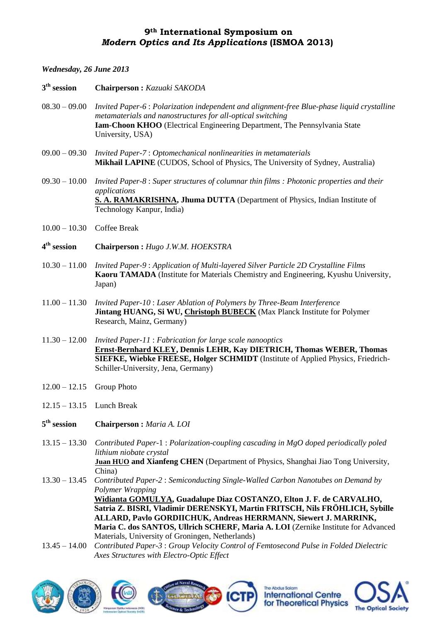#### *Wednesday, 26 June 2013*

- 3<sup>th</sup> session **th session Chairperson :** *Kazuaki SAKODA*
- 08.30 09.00 *Invited Paper-6* : *Polarization independent and alignment-free Blue-phase liquid crystalline metamaterials and nanostructures for all-optical switching* **Iam-Choon KHOO** (Electrical Engineering Department, The Pennsylvania State University, USA)
- 09.00 09.30 *Invited Paper-7* : *Optomechanical nonlinearities in metamaterials* **Mikhail LAPINE** (CUDOS, School of Physics, The University of Sydney, Australia)
- 09.30 10.00 *Invited Paper-8* : *Super structures of columnar thin films : Photonic properties and their applications* **S. A. RAMAKRISHNA, Jhuma DUTTA** (Department of Physics, Indian Institute of Technology Kanpur, India)
- 10.00 10.30 Coffee Break
- 4<sup>th</sup> session **th session Chairperson :** *Hugo J.W.M. HOEKSTRA*
- 10.30 11.00 *Invited Paper-9* : *Application of Multi-layered Silver Particle 2D Crystalline Films* **Kaoru TAMADA** (Institute for Materials Chemistry and Engineering, Kyushu University, Japan)
- 11.00 11.30 *Invited Paper-10* : *Laser Ablation of Polymers by Three-Beam Interference* **Jintang HUANG, Si WU, Christoph BUBECK** (Max Planck Institute for Polymer Research, Mainz, Germany)
- 11.30 12.00 *Invited Paper-11* : *Fabrication for large scale nanooptics* **Ernst-Bernhard KLEY, Dennis LEHR, Kay DIETRICH, Thomas WEBER, Thomas SIEFKE, Wiebke FREESE, Holger SCHMIDT** (Institute of Applied Physics, Friedrich-Schiller-University, Jena, Germany)
- 12.00 12.15 Group Photo
- 12.15 13.15 Lunch Break
- 5<sup>th</sup> session **th session Chairperson :** *Maria A. LOI*
- 13.15 13.30 *Contributed Paper-*1 : *Polarization-coupling cascading in MgO doped periodically poled lithium niobate crystal* **Juan HUO and Xianfeng CHEN** (Department of Physics, Shanghai Jiao Tong University,
- China) 13.30 – 13.45 *Contributed Paper-2* : *Semiconducting Single-Walled Carbon Nanotubes on Demand by Polymer Wrapping*

**Widianta GOMULYA, Guadalupe Diaz COSTANZO, Elton J. F. de CARVALHO, Satria Z. BISRI, Vladimir DERENSKYI, Martin FRITSCH, Nils FRÖHLICH, Sybille ALLARD, Pavlo GORDIICHUK, Andreas HERRMANN, Siewert J. MARRINK, Maria C. dos SANTOS, Ullrich SCHERF, Maria A. LOI** (Zernike Institute for Advanced Materials, University of Groningen, Netherlands)

13.45 – 14.00 *Contributed Paper-3* : *Group Velocity Control of Femtosecond Pulse in Folded Dielectric Axes Structures with Electro-Optic Effect*

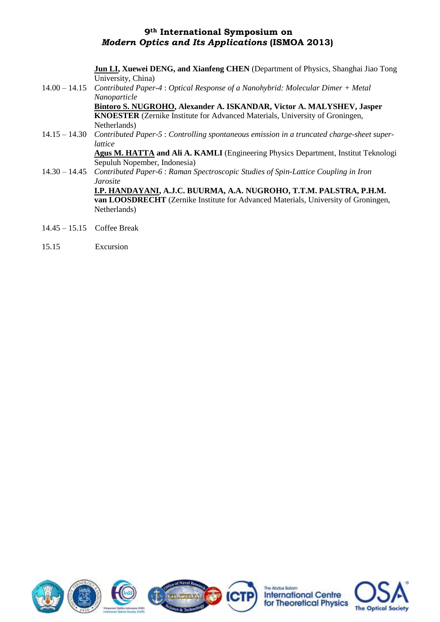| <b>Jun LI, Xuewei DENG, and Xianfeng CHEN</b> (Department of Physics, Shanghai Jiao Tong  |
|-------------------------------------------------------------------------------------------|
|                                                                                           |
|                                                                                           |
|                                                                                           |
|                                                                                           |
|                                                                                           |
|                                                                                           |
| Contributed Paper-5 : Controlling spontaneous emission in a truncated charge-sheet super- |
|                                                                                           |
| Agus M. HATTA and Ali A. KAMLI (Engineering Physics Department, Institut Teknologi        |
|                                                                                           |
|                                                                                           |
|                                                                                           |
|                                                                                           |
|                                                                                           |
|                                                                                           |
|                                                                                           |
| van LOOSDRECHT (Zernike Institute for Advanced Materials, University of Groningen,        |

- 14.45 15.15 Coffee Break
- 15.15 Excursion



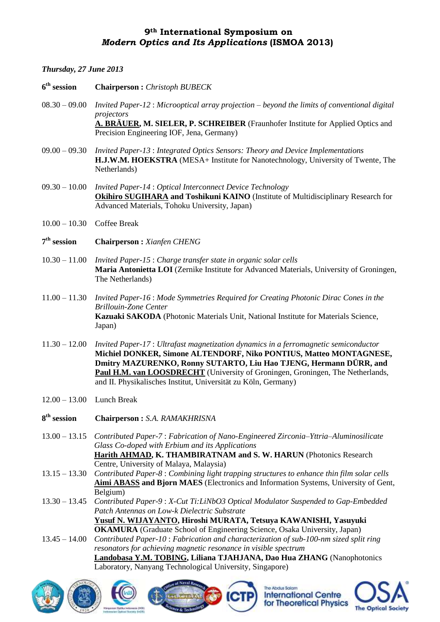#### *Thursday, 27 June 2013*

| $6th$ session               | <b>Chairperson:</b> Christoph BUBECK                                                                                                                                                                                                                                                                                                                                                |
|-----------------------------|-------------------------------------------------------------------------------------------------------------------------------------------------------------------------------------------------------------------------------------------------------------------------------------------------------------------------------------------------------------------------------------|
| $08.30 - 09.00$             | Invited Paper-12 : Microoptical array projection – beyond the limits of conventional digital<br>projectors                                                                                                                                                                                                                                                                          |
|                             | A. BRÄUER, M. SIELER, P. SCHREIBER (Fraunhofer Institute for Applied Optics and<br>Precision Engineering IOF, Jena, Germany)                                                                                                                                                                                                                                                        |
| $09.00 - 09.30$             | Invited Paper-13 : Integrated Optics Sensors: Theory and Device Implementations<br>H.J.W.M. HOEKSTRA (MESA+ Institute for Nanotechnology, University of Twente, The<br>Netherlands)                                                                                                                                                                                                 |
| $09.30 - 10.00$             | <b>Invited Paper-14 : Optical Interconnect Device Technology</b><br>Okihiro SUGIHARA and Toshikuni KAINO (Institute of Multidisciplinary Research for<br>Advanced Materials, Tohoku University, Japan)                                                                                                                                                                              |
| $10.00 - 10.30$             | <b>Coffee Break</b>                                                                                                                                                                                                                                                                                                                                                                 |
| $7th$ session               | <b>Chairperson: Xianfen CHENG</b>                                                                                                                                                                                                                                                                                                                                                   |
| $10.30 - 11.00$             | Invited Paper-15 : Charge transfer state in organic solar cells<br>Maria Antonietta LOI (Zernike Institute for Advanced Materials, University of Groningen,<br>The Netherlands)                                                                                                                                                                                                     |
| $11.00 - 11.30$             | Invited Paper-16 : Mode Symmetries Required for Creating Photonic Dirac Cones in the<br><b>Brillouin-Zone Center</b><br>Kazuaki SAKODA (Photonic Materials Unit, National Institute for Materials Science,<br>Japan)                                                                                                                                                                |
| $11.30 - 12.00$             | Invited Paper-17 : Ultrafast magnetization dynamics in a ferromagnetic semiconductor<br>Michiel DONKER, Simone ALTENDORF, Niko PONTIUS, Matteo MONTAGNESE,<br>Dmitry MAZURENKO, Ronny SUTARTO, Liu Hao TJENG, Hermann DÜRR, and<br>Paul H.M. van LOOSDRECHT (University of Groningen, Groningen, The Netherlands,<br>and II. Physikalisches Institut, Universität zu Köln, Germany) |
| $12.00 - 13.00$ Lunch Break |                                                                                                                                                                                                                                                                                                                                                                                     |
| 8 <sup>th</sup> session     | Chairperson: S.A. RAMAKHRISNA                                                                                                                                                                                                                                                                                                                                                       |
| $13.00 - 13.15$             | Contributed Paper-7: Fabrication of Nano-Engineered Zirconia-Yttria-Aluminosilicate<br>Glass Co-doped with Erbium and its Applications<br>Harith AHMAD, K. THAMBIRATNAM and S. W. HARUN (Photonics Research                                                                                                                                                                         |
| $13.15 - 13.30$             | Centre, University of Malaya, Malaysia)<br>Contributed Paper-8 : Combining light trapping structures to enhance thin film solar cells<br><b>Aimi ABASS and Bjorn MAES</b> (Electronics and Information Systems, University of Gent,<br>Belgium)                                                                                                                                     |
| $13.30 - 13.45$             | Contributed Paper-9 : X-Cut Ti:LiNbO3 Optical Modulator Suspended to Gap-Embedded<br>Patch Antennas on Low-k Dielectric Substrate<br>Yusuf N. WIJAYANTO, Hiroshi MURATA, Tetsuya KAWANISHI, Yasuyuki                                                                                                                                                                                |
| $13.45 - 14.00$             | <b>OKAMURA</b> (Graduate School of Engineering Science, Osaka University, Japan)<br>Contributed Paper-10 : Fabrication and characterization of sub-100-nm sized split ring<br>resonators for achieving magnetic resonance in visible spectrum<br>Landobasa Y.M. TOBING, Liliana TJAHJANA, Dao Hua ZHANG (Nanophotonics<br>Laboratory, Nanyang Technological University, Singapore)  |









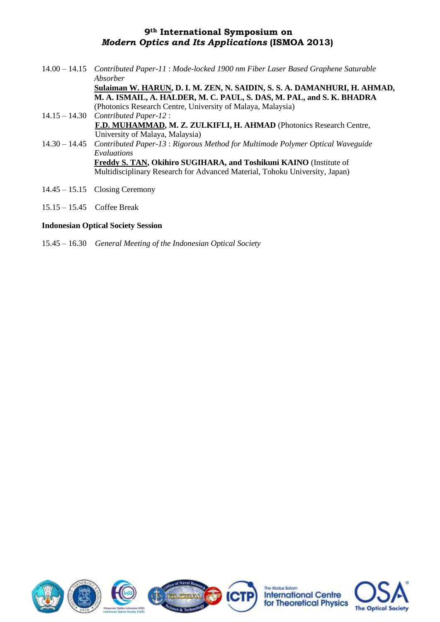| 14.00 - 14.15 Contributed Paper-11: Mode-locked 1900 nm Fiber Laser Based Graphene Saturable |
|----------------------------------------------------------------------------------------------|
| Absorber                                                                                     |
| Sulaiman W. HARUN, D. I. M. ZEN, N. SAIDIN, S. S. A. DAMANHURI, H. AHMAD,                    |
| M. A. ISMAIL, A. HALDER, M. C. PAUL, S. DAS, M. PAL, and S. K. BHADRA                        |
| (Photonics Research Centre, University of Malaya, Malaysia)                                  |
| $14.15 - 14.30$ Contributed Paper-12:                                                        |
| F.D. MUHAMMAD, M. Z. ZULKIFLI, H. AHMAD (Photonics Research Centre,                          |
| University of Malaya, Malaysia)                                                              |
| 14.30 - 14.45 Contributed Paper-13 : Rigorous Method for Multimode Polymer Optical Waveguide |
| Evaluations                                                                                  |
| Freddy S. TAN, Okihiro SUGIHARA, and Toshikuni KAINO (Institute of                           |
| Multidisciplinary Research for Advanced Material, Tohoku University, Japan)                  |

- 14.45 15.15 Closing Ceremony
- 15.15 15.45 Coffee Break

#### **Indonesian Optical Society Session**

15.45 – 16.30 *General Meeting of the Indonesian Optical Society*



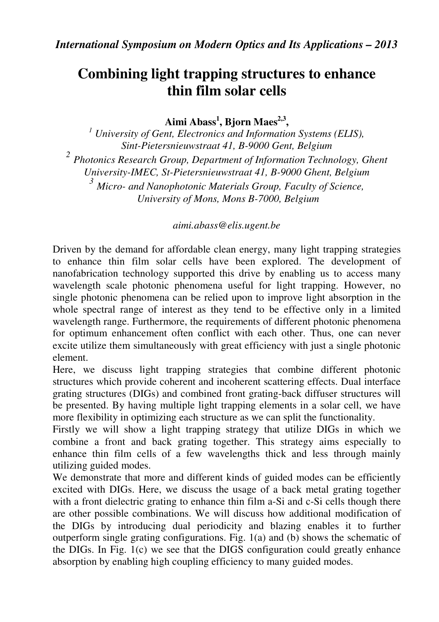# **Combining light trapping structures to enhance thin film solar cells**

**Aimi Abass<sup>1</sup> , Bjorn Maes2,3 ,** 

*1 University of Gent, Electronics and Information Systems (ELIS), Sint-Pietersnieuwstraat 41, B-9000 Gent, Belgium 2 Photonics Research Group, Department of Information Technology, Ghent University-IMEC, St-Pietersnieuwstraat 41, B-9000 Ghent, Belgium <sup>3</sup> Micro- and Nanophotonic Materials Group, Faculty of Science, University of Mons, Mons B-7000, Belgium* 

*aimi.abass@elis.ugent.be* 

Driven by the demand for affordable clean energy, many light trapping strategies to enhance thin film solar cells have been explored. The development of nanofabrication technology supported this drive by enabling us to access many wavelength scale photonic phenomena useful for light trapping. However, no single photonic phenomena can be relied upon to improve light absorption in the whole spectral range of interest as they tend to be effective only in a limited wavelength range. Furthermore, the requirements of different photonic phenomena for optimum enhancement often conflict with each other. Thus, one can never excite utilize them simultaneously with great efficiency with just a single photonic element.

Here, we discuss light trapping strategies that combine different photonic structures which provide coherent and incoherent scattering effects. Dual interface grating structures (DIGs) and combined front grating-back diffuser structures will be presented. By having multiple light trapping elements in a solar cell, we have more flexibility in optimizing each structure as we can split the functionality.

Firstly we will show a light trapping strategy that utilize DIGs in which we combine a front and back grating together. This strategy aims especially to enhance thin film cells of a few wavelengths thick and less through mainly utilizing guided modes.

We demonstrate that more and different kinds of guided modes can be efficiently excited with DIGs. Here, we discuss the usage of a back metal grating together with a front dielectric grating to enhance thin film a-Si and c-Si cells though there are other possible combinations. We will discuss how additional modification of the DIGs by introducing dual periodicity and blazing enables it to further outperform single grating configurations. Fig. 1(a) and (b) shows the schematic of the DIGs. In Fig. 1(c) we see that the DIGS configuration could greatly enhance absorption by enabling high coupling efficiency to many guided modes.